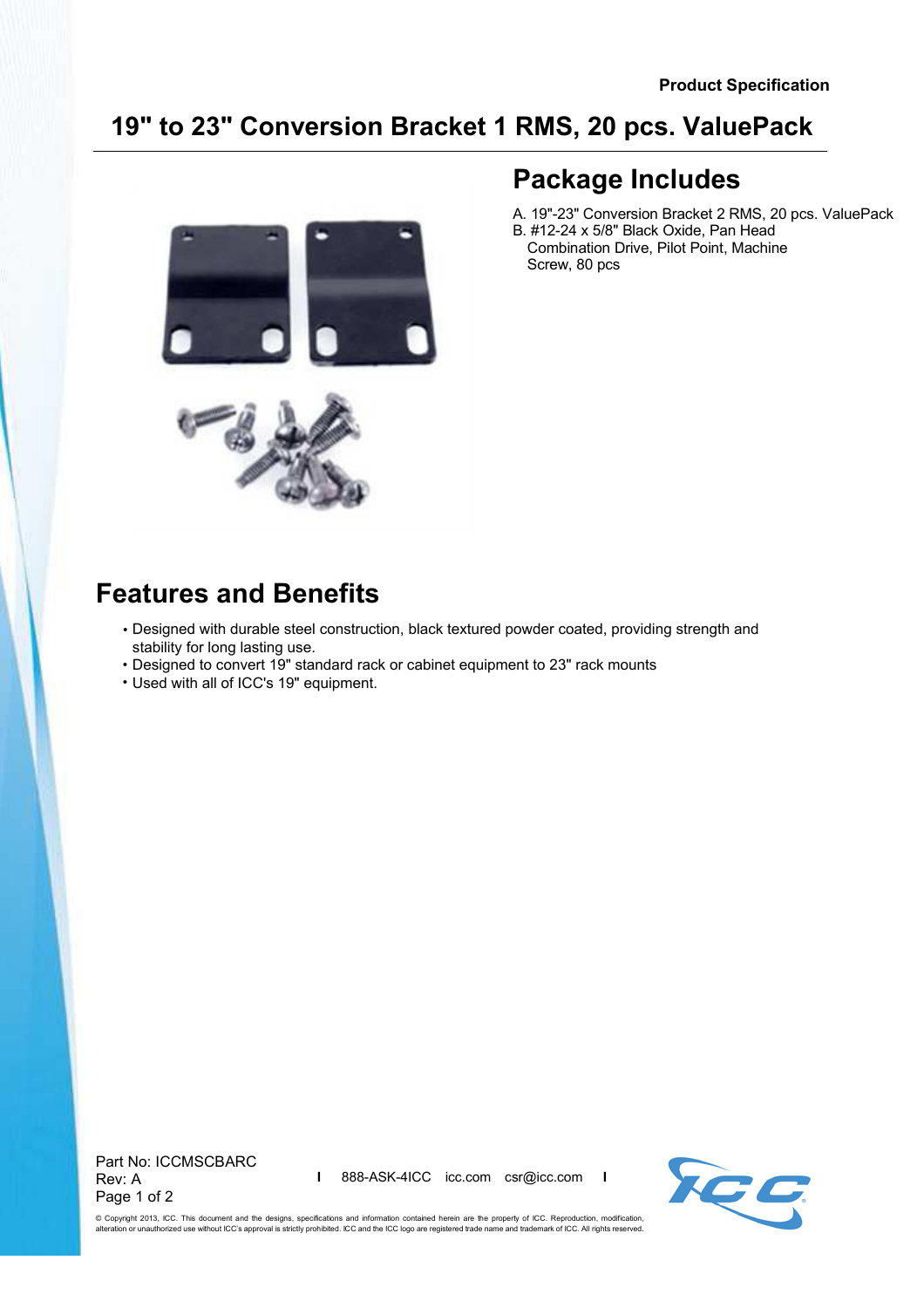#### **19" to 23" Conversion Bracket 1 RMS, 20 pcs. ValuePack**



# **Package Includes**

- B. #12-24 x 5/8" Black Oxide, Pan Head A. 19"-23" Conversion Bracket 2 RMS, 20 pcs. ValuePack
- Combination Drive, Pilot Point, Machine Screw, 80 pcs

## **Features and Benefits**

- Designed with durable steel construction, black textured powder coated, providing strength and stability for long lasting use.
- Designed to convert 19" standard rack or cabinet equipment to 23" rack mounts
- Used with all of ICC's 19" equipment.

Part No: ICCMSCBARC Rev: A Page 1 of 2

**I** 888-ASK-4ICC icc.com csr@icc.com **I**



© Copyright 2013, ICC. This document and the designs, specifications and information contained herein are the property of ICC. Reproduction, modification, alteration or unauthorized use without ICC's approval is strictly prohibited. ICC and the ICC logo are registered trade name and trademark of ICC. All rights reserved.